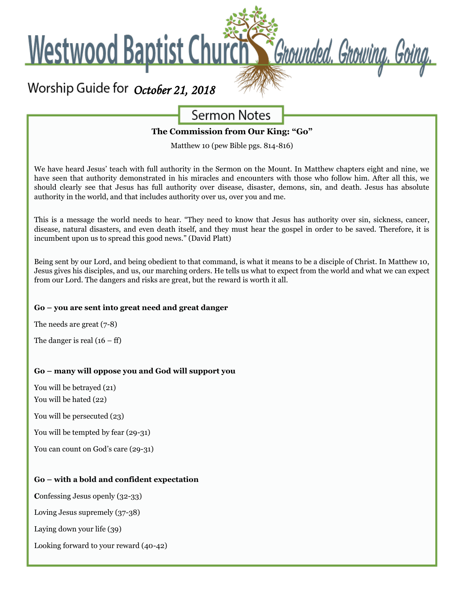

# **Sermon Notes**

**The Commission from Our King: "Go"**

Matthew 10 (pew Bible pgs. 814-816)

We have heard Jesus' teach with full authority in the Sermon on the Mount. In Matthew chapters eight and nine, we have seen that authority demonstrated in his miracles and encounters with those who follow him. After all this, we should clearly see that Jesus has full authority over disease, disaster, demons, sin, and death. Jesus has absolute authority in the world, and that includes authority over us, over you and me.

This is a message the world needs to hear. "They need to know that Jesus has authority over sin, sickness, cancer, disease, natural disasters, and even death itself, and they must hear the gospel in order to be saved. Therefore, it is incumbent upon us to spread this good news." (David Platt)

Being sent by our Lord, and being obedient to that command, is what it means to be a disciple of Christ. In Matthew 10, Jesus gives his disciples, and us, our marching orders. He tells us what to expect from the world and what we can expect from our Lord. The dangers and risks are great, but the reward is worth it all.

#### **Go – you are sent into great need and great danger**

The needs are great (7-8)

The danger is real  $(16 - ff)$ 

#### **Go – many will oppose you and God will support you**

You will be betrayed (21)

You will be hated (22)

You will be persecuted (23)

You will be tempted by fear (29-31)

You can count on God's care (29-31)

#### **Go – with a bold and confident expectation**

**C**onfessing Jesus openly (32-33)

Loving Jesus supremely (37-38)

Laying down your life (39)

Looking forward to your reward (40-42)